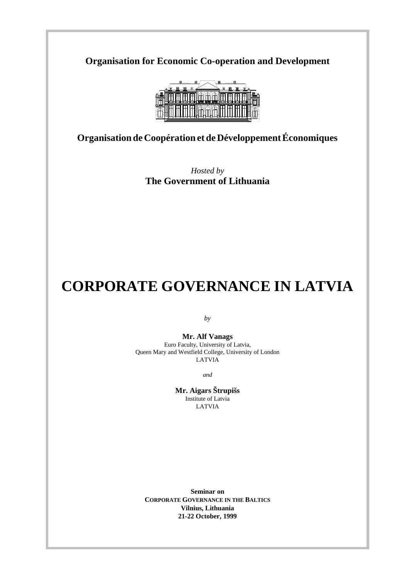**Organisation for Economic Co-operation and Development**



**Organisation de Coopération et de Développement Économiques**

*Hosted by* **The Government of Lithuania**

# **CORPORATE GOVERNANCE IN LATVIA**

*by*

**Mr. Alf Vanags** Euro Faculty, University of Latvia, Queen Mary and Westfield College, University of London LATVIA

*and*

**Mr. Aigars Štrupišs** Institute of Latvia LATVIA

**Seminar on CORPORATE GOVERNANCE IN THE BALTICS Vilnius, Lithuania 21-22 October, 1999**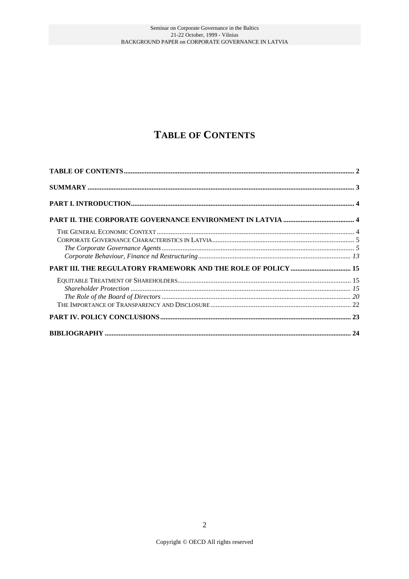## **TABLE OF CONTENTS**

| $\label{prop:1} The\,\,Gorporate\,\,Goverance\,\,Agents\,\,\,\,\,\,\,\,\,\,\,\,\,\,\,\,5$ |  |
|-------------------------------------------------------------------------------------------|--|
|                                                                                           |  |
| PART III. THE REGULATORY FRAMEWORK AND THE ROLE OF POLICY  15                             |  |
|                                                                                           |  |
|                                                                                           |  |
|                                                                                           |  |
|                                                                                           |  |
|                                                                                           |  |
|                                                                                           |  |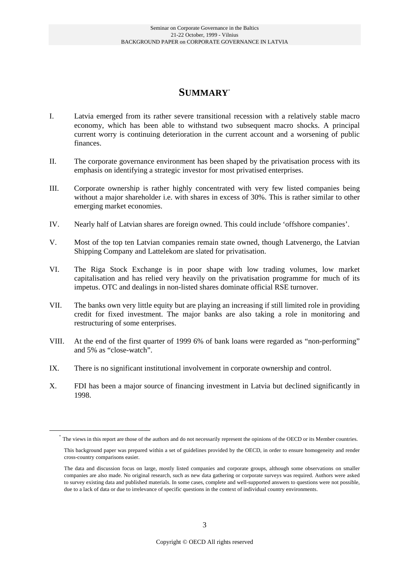## **SUMMARY**\*

- I. Latvia emerged from its rather severe transitional recession with a relatively stable macro economy, which has been able to withstand two subsequent macro shocks. A principal current worry is continuing deterioration in the current account and a worsening of public finances.
- II. The corporate governance environment has been shaped by the privatisation process with its emphasis on identifying a strategic investor for most privatised enterprises.
- III. Corporate ownership is rather highly concentrated with very few listed companies being without a major shareholder i.e. with shares in excess of 30%. This is rather similar to other emerging market economies.
- IV. Nearly half of Latvian shares are foreign owned. This could include 'offshore companies'.
- V. Most of the top ten Latvian companies remain state owned, though Latvenergo, the Latvian Shipping Company and Lattelekom are slated for privatisation.
- VI. The Riga Stock Exchange is in poor shape with low trading volumes, low market capitalisation and has relied very heavily on the privatisation programme for much of its impetus. OTC and dealings in non-listed shares dominate official RSE turnover.
- VII. The banks own very little equity but are playing an increasing if still limited role in providing credit for fixed investment. The major banks are also taking a role in monitoring and restructuring of some enterprises.
- VIII. At the end of the first quarter of 1999 6% of bank loans were regarded as "non-performing" and 5% as "close-watch".
- IX. There is no significant institutional involvement in corporate ownership and control.
- X. FDI has been a major source of financing investment in Latvia but declined significantly in 1998.

<sup>\*</sup> The views in this report are those of the authors and do not necessarily represent the opinions of the OECD or its Member countries.

This background paper was prepared within a set of guidelines provided by the OECD, in order to ensure homogeneity and render cross-country comparisons easier.

The data and discussion focus on large, mostly listed companies and corporate groups, although some observations on smaller companies are also made. No original research, such as new data gathering or corporate surveys was required. Authors were asked to survey existing data and published materials. In some cases, complete and well-supported answers to questions were not possible, due to a lack of data or due to irrelevance of specific questions in the context of individual country environments.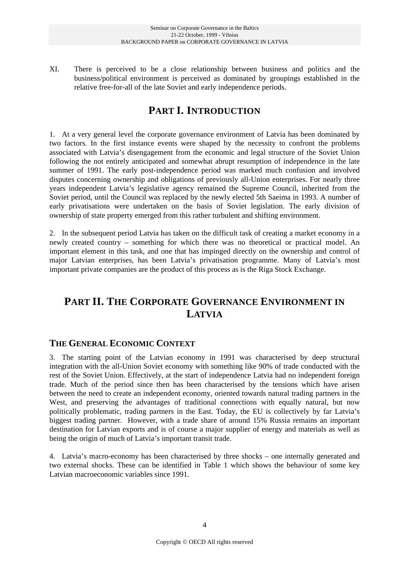XI. There is perceived to be a close relationship between business and politics and the business/political environment is perceived as dominated by groupings established in the relative free-for-all of the late Soviet and early independence periods.

## **PART I. INTRODUCTION**

1. At a very general level the corporate governance environment of Latvia has been dominated by two factors. In the first instance events were shaped by the necessity to confront the problems associated with Latvia's disengagement from the economic and legal structure of the Soviet Union following the not entirely anticipated and somewhat abrupt resumption of independence in the late summer of 1991. The early post-independence period was marked much confusion and involved disputes concerning ownership and obligations of previously all-Union enterprises. For nearly three years independent Latvia's legislative agency remained the Supreme Council, inherited from the Soviet period, until the Council was replaced by the newly elected 5th Saeima in 1993. A number of early privatisations were undertaken on the basis of Soviet legislation. The early division of ownership of state property emerged from this rather turbulent and shifting environment.

2. In the subsequent period Latvia has taken on the difficult task of creating a market economy in a newly created country – something for which there was no theoretical or practical model. An important element in this task, and one that has impinged directly on the ownership and control of major Latvian enterprises, has been Latvia's privatisation programme. Many of Latvia's most important private companies are the product of this process as is the Riga Stock Exchange.

## **PART II. THE CORPORATE GOVERNANCE ENVIRONMENT IN LATVIA**

### **THE GENERAL ECONOMIC CONTEXT**

3. The starting point of the Latvian economy in 1991 was characterised by deep structural integration with the all-Union Soviet economy with something like 90% of trade conducted with the rest of the Soviet Union. Effectively, at the start of independence Latvia had no independent foreign trade. Much of the period since then has been characterised by the tensions which have arisen between the need to create an independent economy, oriented towards natural trading partners in the West, and preserving the advantages of traditional connections with equally natural, but now politically problematic, trading partners in the East. Today, the EU is collectively by far Latvia's biggest trading partner. However, with a trade share of around 15% Russia remains an important destination for Latvian exports and is of course a major supplier of energy and materials as well as being the origin of much of Latvia's important transit trade.

4. Latvia's macro-economy has been characterised by three shocks – one internally generated and two external shocks. These can be identified in Table 1 which shows the behaviour of some key Latvian macroeconomic variables since 1991.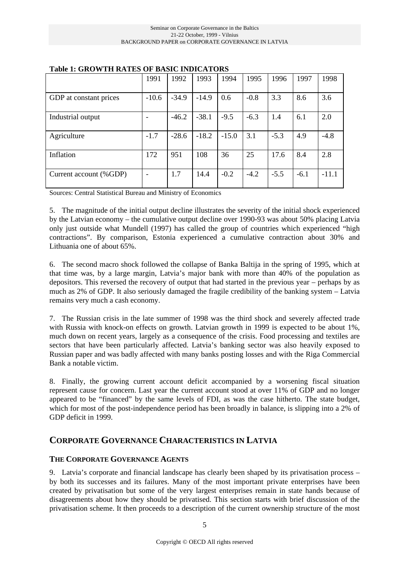|                        | 1991    | 1992    | 1993    | 1994    | 1995   | 1996   | 1997   | 1998    |
|------------------------|---------|---------|---------|---------|--------|--------|--------|---------|
| GDP at constant prices | $-10.6$ | $-34.9$ | $-14.9$ | 0.6     | $-0.8$ | 3.3    | 8.6    | 3.6     |
|                        |         |         |         |         |        |        |        |         |
| Industrial output      |         | $-46.2$ | $-38.1$ | $-9.5$  | $-6.3$ | 1.4    | 6.1    | 2.0     |
|                        |         |         |         |         |        |        |        |         |
| Agriculture            | $-1.7$  | $-28.6$ | $-18.2$ | $-15.0$ | 3.1    | $-5.3$ | 4.9    | $-4.8$  |
|                        |         |         |         |         |        |        |        |         |
| Inflation              | 172     | 951     | 108     | 36      | 25     | 17.6   | 8.4    | 2.8     |
|                        |         |         |         |         |        |        |        |         |
| Current account (%GDP) | ۰       | 1.7     | 14.4    | $-0.2$  | $-4.2$ | $-5.5$ | $-6.1$ | $-11.1$ |
|                        |         |         |         |         |        |        |        |         |

#### **Table 1: GROWTH RATES OF BASIC INDICATORS**

Sources: Central Statistical Bureau and Ministry of Economics

5. The magnitude of the initial output decline illustrates the severity of the initial shock experienced by the Latvian economy – the cumulative output decline over 1990-93 was about 50% placing Latvia only just outside what Mundell (1997) has called the group of countries which experienced "high contractions". By comparison, Estonia experienced a cumulative contraction about 30% and Lithuania one of about 65%.

6. The second macro shock followed the collapse of Banka Baltija in the spring of 1995, which at that time was, by a large margin, Latvia's major bank with more than 40% of the population as depositors. This reversed the recovery of output that had started in the previous year – perhaps by as much as 2% of GDP. It also seriously damaged the fragile credibility of the banking system – Latvia remains very much a cash economy.

7. The Russian crisis in the late summer of 1998 was the third shock and severely affected trade with Russia with knock-on effects on growth. Latvian growth in 1999 is expected to be about 1%, much down on recent years, largely as a consequence of the crisis. Food processing and textiles are sectors that have been particularly affected. Latvia's banking sector was also heavily exposed to Russian paper and was badly affected with many banks posting losses and with the Riga Commercial Bank a notable victim.

8. Finally, the growing current account deficit accompanied by a worsening fiscal situation represent cause for concern. Last year the current account stood at over 11% of GDP and no longer appeared to be "financed" by the same levels of FDI, as was the case hitherto. The state budget, which for most of the post-independence period has been broadly in balance, is slipping into a 2% of GDP deficit in 1999.

### **CORPORATE GOVERNANCE CHARACTERISTICS IN LATVIA**

#### **THE CORPORATE GOVERNANCE AGENTS**

9. Latvia's corporate and financial landscape has clearly been shaped by its privatisation process – by both its successes and its failures. Many of the most important private enterprises have been created by privatisation but some of the very largest enterprises remain in state hands because of disagreements about how they should be privatised. This section starts with brief discussion of the privatisation scheme. It then proceeds to a description of the current ownership structure of the most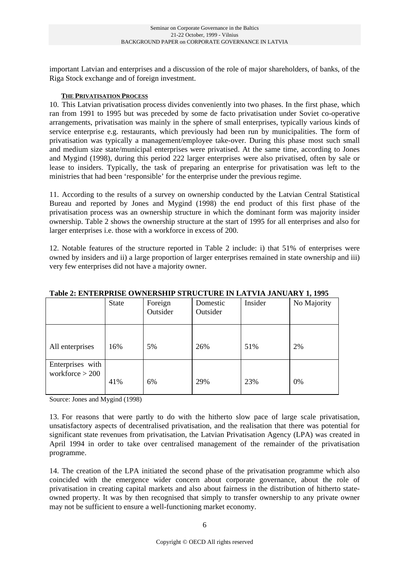important Latvian and enterprises and a discussion of the role of major shareholders, of banks, of the Riga Stock exchange and of foreign investment.

#### **THE PRIVATISATION PROCESS**

10. This Latvian privatisation process divides conveniently into two phases. In the first phase, which ran from 1991 to 1995 but was preceded by some de facto privatisation under Soviet co-operative arrangements, privatisation was mainly in the sphere of small enterprises, typically various kinds of service enterprise e.g. restaurants, which previously had been run by municipalities. The form of privatisation was typically a management/employee take-over. During this phase most such small and medium size state/municipal enterprises were privatised. At the same time, according to Jones and Mygind (1998), during this period 222 larger enterprises were also privatised, often by sale or lease to insiders. Typically, the task of preparing an enterprise for privatisation was left to the ministries that had been 'responsible' for the enterprise under the previous regime.

11. According to the results of a survey on ownership conducted by the Latvian Central Statistical Bureau and reported by Jones and Mygind (1998) the end product of this first phase of the privatisation process was an ownership structure in which the dominant form was majority insider ownership. Table 2 shows the ownership structure at the start of 1995 for all enterprises and also for larger enterprises i.e. those with a workforce in excess of 200.

12. Notable features of the structure reported in Table 2 include: i) that 51% of enterprises were owned by insiders and ii) a large proportion of larger enterprises remained in state ownership and iii) very few enterprises did not have a majority owner.

|                   | Tabic 2. ENTERI RISE O WNERSHII "STROCTORE IN EAT VIA JANCART" 1, 1773 |          |          |         |             |  |  |
|-------------------|------------------------------------------------------------------------|----------|----------|---------|-------------|--|--|
|                   | State                                                                  | Foreign  | Domestic | Insider | No Majority |  |  |
|                   |                                                                        | Outsider | Outsider |         |             |  |  |
|                   |                                                                        |          |          |         |             |  |  |
|                   |                                                                        |          |          |         |             |  |  |
| All enterprises   | 16%                                                                    | 5%       | 26%      | 51%     | 2%          |  |  |
| Enterprises with  |                                                                        |          |          |         |             |  |  |
| workforce $> 200$ |                                                                        |          |          |         |             |  |  |
|                   | 41%                                                                    | 6%       | 29%      | 23%     | 0%          |  |  |
|                   |                                                                        |          |          |         |             |  |  |

### **Table 2: ENTERPRISE OWNERSHIP STRUCTURE IN LATVIA JANUARY 1, 1995**

Source: Jones and Mygind (1998)

13. For reasons that were partly to do with the hitherto slow pace of large scale privatisation, unsatisfactory aspects of decentralised privatisation, and the realisation that there was potential for significant state revenues from privatisation, the Latvian Privatisation Agency (LPA) was created in April 1994 in order to take over centralised management of the remainder of the privatisation programme.

14. The creation of the LPA initiated the second phase of the privatisation programme which also coincided with the emergence wider concern about corporate governance, about the role of privatisation in creating capital markets and also about fairness in the distribution of hitherto stateowned property. It was by then recognised that simply to transfer ownership to any private owner may not be sufficient to ensure a well-functioning market economy.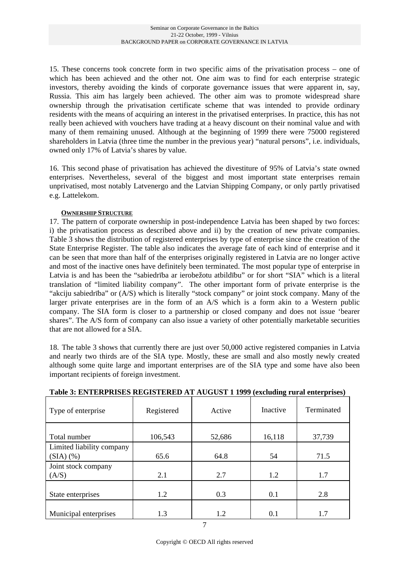15. These concerns took concrete form in two specific aims of the privatisation process – one of which has been achieved and the other not. One aim was to find for each enterprise strategic investors, thereby avoiding the kinds of corporate governance issues that were apparent in, say, Russia. This aim has largely been achieved. The other aim was to promote widespread share ownership through the privatisation certificate scheme that was intended to provide ordinary residents with the means of acquiring an interest in the privatised enterprises. In practice, this has not really been achieved with vouchers have trading at a heavy discount on their nominal value and with many of them remaining unused. Although at the beginning of 1999 there were 75000 registered shareholders in Latvia (three time the number in the previous year) "natural persons", i.e. individuals, owned only 17% of Latvia's shares by value.

16. This second phase of privatisation has achieved the divestiture of 95% of Latvia's state owned enterprises. Nevertheless, several of the biggest and most important state enterprises remain unprivatised, most notably Latvenergo and the Latvian Shipping Company, or only partly privatised e.g. Lattelekom.

#### **OWNERSHIP STRUCTURE**

17. The pattern of corporate ownership in post-independence Latvia has been shaped by two forces: i) the privatisation process as described above and ii) by the creation of new private companies. Table 3 shows the distribution of registered enterprises by type of enterprise since the creation of the State Enterprise Register. The table also indicates the average fate of each kind of enterprise and it can be seen that more than half of the enterprises originally registered in Latvia are no longer active and most of the inactive ones have definitely been terminated. The most popular type of enterprise in Latvia is and has been the "sabiedrība ar ierobežotu atbildību" or for short "SIA" which is a literal translation of "limited liability company". The other important form of private enterprise is the "akciju sabiedrība" or (A/S) which is literally "stock company" or joint stock company. Many of the larger private enterprises are in the form of an A/S which is a form akin to a Western public company. The SIA form is closer to a partnership or closed company and does not issue 'bearer shares". The A/S form of company can also issue a variety of other potentially marketable securities that are not allowed for a SIA.

18. The table 3 shows that currently there are just over 50,000 active registered companies in Latvia and nearly two thirds are of the SIA type. Mostly, these are small and also mostly newly created although some quite large and important enterprises are of the SIA type and some have also been important recipients of foreign investment.

| Type of enterprise                          | Registered | Active | Inactive | Terminated |
|---------------------------------------------|------------|--------|----------|------------|
| Total number                                | 106,543    | 52,686 | 16,118   | 37,739     |
| Limited liability company<br>$(SIA)$ $(\%)$ | 65.6       | 64.8   | 54       | 71.5       |
| Joint stock company<br>(A/S)                | 2.1        | 2.7    | 1.2      | 1.7        |
| State enterprises                           | 1.2        | 0.3    | 0.1      | 2.8        |
| Municipal enterprises                       | 1.3        | 1.2    | 0.1      | 1.7        |

#### **Table 3: ENTERPRISES REGISTERED AT AUGUST 1 1999 (excluding rural enterprises)**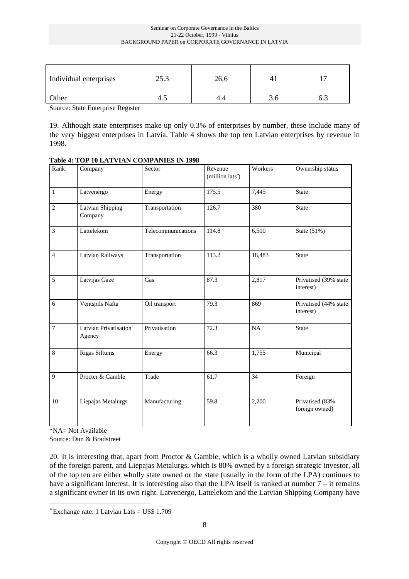#### Seminar on Corporate Governance in the Baltics 21-22 October, 1999 - Vilnius BACKGROUND PAPER on CORPORATE GOVERNANCE IN LATVIA

| Individual enterprises | າະ າ<br>ن رے | 26.6 |     |     |
|------------------------|--------------|------|-----|-----|
| Other                  | 4.1          |      | J.U | ∪.J |

Source: State Enterprise Register

19. Although state enterprises make up only 0.3% of enterprises by number, these include many of the very biggest enterprises in Latvia. Table 4 shows the top ten Latvian enterprises by revenue in 1998.

| Rank           | Company                         | Sector             | Revenue<br>(million lats <sup>*</sup> ) | Workers | Ownership status                   |
|----------------|---------------------------------|--------------------|-----------------------------------------|---------|------------------------------------|
| $\mathbf{1}$   | Latvenergo                      | Energy             | 175.5                                   | 7,445   | <b>State</b>                       |
| $\overline{2}$ | Latvian Shipping<br>Company     | Transportation     | 126.7                                   | 380     | <b>State</b>                       |
| $\mathfrak{Z}$ | Lattelekom                      | Telecommunications | 114.8                                   | 6,500   | State $(51%)$                      |
| $\overline{4}$ | Latvian Railways                | Transportation     | 113.2                                   | 18,483  | <b>State</b>                       |
| 5              | Latvijas Gaze                   | Gas                | 87.3                                    | 2,817   | Privatised (39% state<br>interest) |
| 6              | Ventspils Nafta                 | Oil transport      | 79.3                                    | 869     | Privatised (44% state<br>interest) |
| $\overline{7}$ | Latvian Privatisation<br>Agency | Privatisation      | 72.3                                    | NA      | <b>State</b>                       |
| $\,8\,$        | Rigas Siltums                   | Energy             | 66.3                                    | 1,755   | Municipal                          |
| 9              | Procter & Gamble                | Trade              | 61.7                                    | 34      | Foreign                            |
| 10             | Liepajas Metalurgs              | Manufacturing      | 59.8                                    | 2,200   | Privatised (83%<br>foreign owned)  |

#### **Table 4: TOP 10 LATVIAN COMPANIES IN 1998**

\*NA= Not Available

Source: Dun & Bradstreet

20. It is interesting that, apart from Proctor & Gamble, which is a wholly owned Latvian subsidiary of the foreign parent, and Liepajas Metalurgs, which is 80% owned by a foreign strategic investor, all of the top ten are either wholly state owned or the state (usually in the form of the LPA) continues to have a significant interest. It is interesting also that the LPA itself is ranked at number 7 – it remains a significant owner in its own right. Latvenergo, Lattelekom and the Latvian Shipping Company have

<sup>∗</sup> Exchange rate: 1 Latvian Lats = US\$ 1.709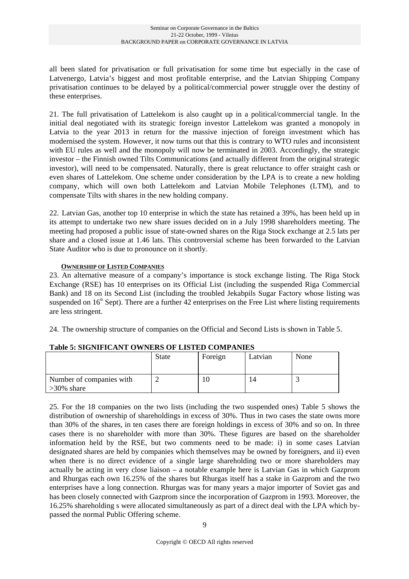all been slated for privatisation or full privatisation for some time but especially in the case of Latvenergo, Latvia's biggest and most profitable enterprise, and the Latvian Shipping Company privatisation continues to be delayed by a political/commercial power struggle over the destiny of these enterprises.

21. The full privatisation of Lattelekom is also caught up in a political/commercial tangle. In the initial deal negotiated with its strategic foreign investor Lattelekom was granted a monopoly in Latvia to the year 2013 in return for the massive injection of foreign investment which has modernised the system. However, it now turns out that this is contrary to WTO rules and inconsistent with EU rules as well and the monopoly will now be terminated in 2003. Accordingly, the strategic investor – the Finnish owned Tilts Communications (and actually different from the original strategic investor), will need to be compensated. Naturally, there is great reluctance to offer straight cash or even shares of Lattelekom. One scheme under consideration by the LPA is to create a new holding company, which will own both Lattelekom and Latvian Mobile Telephones (LTM), and to compensate Tilts with shares in the new holding company.

22. Latvian Gas, another top 10 enterprise in which the state has retained a 39%, has been held up in its attempt to undertake two new share issues decided on in a July 1998 shareholders meeting. The meeting had proposed a public issue of state-owned shares on the Riga Stock exchange at 2.5 lats per share and a closed issue at 1.46 lats. This controversial scheme has been forwarded to the Latvian State Auditor who is due to pronounce on it shortly.

#### **OWNERSHIP OF LISTED COMPANIES**

23. An alternative measure of a company's importance is stock exchange listing. The Riga Stock Exchange (RSE) has 10 enterprises on its Official List (including the suspended Riga Commercial Bank) and 18 on its Second List (including the troubled Jekabpils Sugar Factory whose listing was suspended on  $16<sup>th</sup>$  Sept). There are a further 42 enterprises on the Free List where listing requirements are less stringent.

24. The ownership structure of companies on the Official and Second Lists is shown in Table 5.

|                                           | <b>State</b> | Foreign | Latvian | None |
|-------------------------------------------|--------------|---------|---------|------|
| Number of companies with<br>$>30\%$ share |              |         |         |      |

#### **Table 5: SIGNIFICANT OWNERS OF LISTED COMPANIES**

25. For the 18 companies on the two lists (including the two suspended ones) Table 5 shows the distribution of ownership of shareholdings in excess of 30%. Thus in two cases the state owns more than 30% of the shares, in ten cases there are foreign holdings in excess of 30% and so on. In three cases there is no shareholder with more than 30%. These figures are based on the shareholder information held by the RSE, but two comments need to be made: i) in some cases Latvian designated shares are held by companies which themselves may be owned by foreigners, and ii) even when there is no direct evidence of a single large shareholding two or more shareholders may actually be acting in very close liaison – a notable example here is Latvian Gas in which Gazprom and Rhurgas each own 16.25% of the shares but Rhurgas itself has a stake in Gazprom and the two enterprises have a long connection. Rhurgas was for many years a major importer of Soviet gas and has been closely connected with Gazprom since the incorporation of Gazprom in 1993. Moreover, the 16.25% shareholding s were allocated simultaneously as part of a direct deal with the LPA which bypassed the normal Public Offering scheme.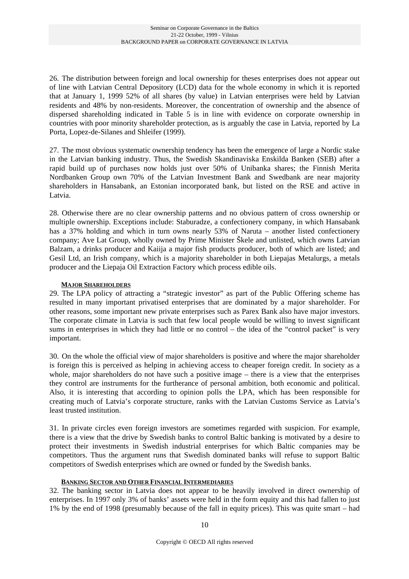26. The distribution between foreign and local ownership for theses enterprises does not appear out of line with Latvian Central Depository (LCD) data for the whole economy in which it is reported that at January 1, 1999 52% of all shares (by value) in Latvian enterprises were held by Latvian residents and 48% by non-residents. Moreover, the concentration of ownership and the absence of dispersed shareholding indicated in Table 5 is in line with evidence on corporate ownership in countries with poor minority shareholder protection, as is arguably the case in Latvia, reported by La Porta, Lopez-de-Silanes and Shleifer (1999).

27. The most obvious systematic ownership tendency has been the emergence of large a Nordic stake in the Latvian banking industry. Thus, the Swedish Skandinaviska Enskilda Banken (SEB) after a rapid build up of purchases now holds just over 50% of Unibanka shares; the Finnish Merita Nordbanken Group own 70% of the Latvian Investment Bank and Swedbank are near majority shareholders in Hansabank, an Estonian incorporated bank, but listed on the RSE and active in Latvia.

28. Otherwise there are no clear ownership patterns and no obvious pattern of cross ownership or multiple ownership. Exceptions include: Staburadze, a confectionery company, in which Hansabank has a 37% holding and which in turn owns nearly 53% of Naruta – another listed confectionery company; Ave Lat Group, wholly owned by Prime Minister Škele and unlisted, which owns Latvian Balzam, a drinks producer and Kaiija a major fish products producer, both of which are listed; and Gesil Ltd, an Irish company, which is a majority shareholder in both Liepajas Metalurgs, a metals producer and the Liepaja Oil Extraction Factory which process edible oils.

#### **MAJOR SHAREHOLDERS**

29. The LPA policy of attracting a "strategic investor" as part of the Public Offering scheme has resulted in many important privatised enterprises that are dominated by a major shareholder. For other reasons, some important new private enterprises such as Parex Bank also have major investors. The corporate climate in Latvia is such that few local people would be willing to invest significant sums in enterprises in which they had little or no control – the idea of the "control packet" is very important.

30. On the whole the official view of major shareholders is positive and where the major shareholder is foreign this is perceived as helping in achieving access to cheaper foreign credit. In society as a whole, major shareholders do not have such a positive image – there is a view that the enterprises they control are instruments for the furtherance of personal ambition, both economic and political. Also, it is interesting that according to opinion polls the LPA, which has been responsible for creating much of Latvia's corporate structure, ranks with the Latvian Customs Service as Latvia's least trusted institution.

31. In private circles even foreign investors are sometimes regarded with suspicion. For example, there is a view that the drive by Swedish banks to control Baltic banking is motivated by a desire to protect their investments in Swedish industrial enterprises for which Baltic companies may be competitors. Thus the argument runs that Swedish dominated banks will refuse to support Baltic competitors of Swedish enterprises which are owned or funded by the Swedish banks.

#### **BANKING SECTOR AND OTHER FINANCIAL INTERMEDIARIES**

32. The banking sector in Latvia does not appear to be heavily involved in direct ownership of enterprises. In 1997 only 3% of banks' assets were held in the form equity and this had fallen to just 1% by the end of 1998 (presumably because of the fall in equity prices). This was quite smart – had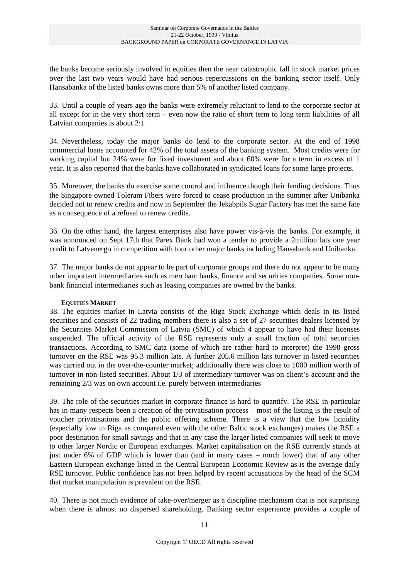the banks become seriously involved in equities then the near catastrophic fall in stock market prices over the last two years would have had serious repercussions on the banking sector itself. Only Hansabanka of the listed banks owns more than 5% of another listed company.

33. Until a couple of years ago the banks were extremely reluctant to lend to the corporate sector at all except for in the very short term – even now the ratio of short term to long term liabilities of all Latvian companies is about 2:1

34. Nevertheless, today the major banks do lend to the corporate sector. At the end of 1998 commercial loans accounted for 42% of the total assets of the banking system. Most credits were for working capital but 24% were for fixed investment and about 60% were for a term in excess of 1 year. It is also reported that the banks have collaborated in syndicated loans for some large projects.

35. Moreover, the banks do exercise some control and influence though their lending decisions. Thus the Singapore owned Toleram Fibers were forced to cease production in the summer after Unibanka decided not to renew credits and now in September the Jekabpils Sugar Factory has met the same fate as a consequence of a refusal to renew credits.

36. On the other hand, the largest enterprises also have power vis-à-vis the banks. For example, it was announced on Sept 17th that Parex Bank had won a tender to provide a 2million lats one year credit to Latvenergo in competition with four other major banks including Hansabank and Unibanka.

37. The major banks do not appear to be part of corporate groups and there do not appear to be many other important intermediaries such as merchant banks, finance and securities companies. Some nonbank financial intermediaries such as leasing companies are owned by the banks.

#### **EQUITIES MARKET**

38. The equities market in Latvia consists of the Riga Stock Exchange which deals in its listed securities and consists of 22 trading members there is also a set of 27 securities dealers licensed by the Securities Market Commission of Latvia (SMC) of which 4 appear to have had their licenses suspended. The official activity of the RSE represents only a small fraction of total securities transactions. According to SMC data (some of which are rather hard to interpret) the 1998 gross turnover on the RSE was 95.3 million lats. A further 205.6 million lats turnover in listed securities was carried out in the over-the-counter market; additionally there was close to 1000 million worth of turnover in non-listed securities. About 1/3 of intermediary turnover was on client's account and the remaining 2/3 was on own account i.e. purely between intermediaries

39. The role of the securities market in corporate finance is hard to quantify. The RSE in particular has in many respects been a creation of the privatisation process – most of the listing is the result of voucher privatisations and the public offering scheme. There is a view that the low liquidity (especially low in Riga as compared even with the other Baltic stock exchanges) makes the RSE a poor destination for small savings and that in any case the larger listed companies will seek to move to other larger Nordic or European exchanges. Market capitalisation on the RSE currently stands at just under 6% of GDP which is lower than (and in many cases – much lower) that of any other Eastern European exchange listed in the Central European Economic Review as is the average daily RSE turnover. Public confidence has not been helped by recent accusations by the head of the SCM that market manipulation is prevalent on the RSE.

40. There is not much evidence of take-over/merger as a discipline mechanism that is not surprising when there is almost no dispersed shareholding. Banking sector experience provides a couple of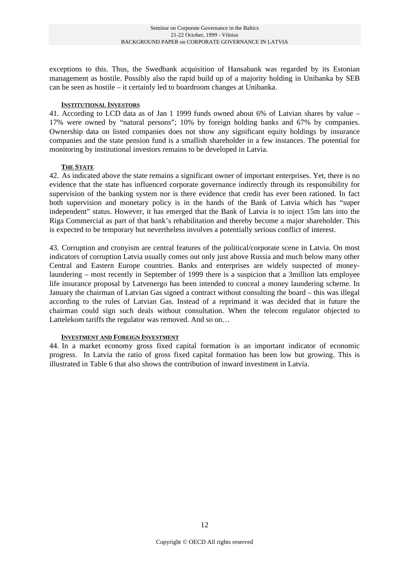exceptions to this. Thus, the Swedbank acquisition of Hansabank was regarded by its Estonian management as hostile. Possibly also the rapid build up of a majority holding in Unibanka by SEB can be seen as hostile – it certainly led to boardroom changes at Unibanka.

#### **INSTITUTIONAL INVESTORS**

41. According to LCD data as of Jan 1 1999 funds owned about 6% of Latvian shares by value – 17% were owned by "natural persons"; 10% by foreign holding banks and 67% by companies. Ownership data on listed companies does not show any significant equity holdings by insurance companies and the state pension fund is a smallish shareholder in a few instances. The potential for monitoring by institutional investors remains to be developed in Latvia.

#### **THE STATE**

42. As indicated above the state remains a significant owner of important enterprises. Yet, there is no evidence that the state has influenced corporate governance indirectly through its responsibility for supervision of the banking system nor is there evidence that credit has ever been rationed. In fact both supervision and monetary policy is in the hands of the Bank of Latvia which has "super independent" status. However, it has emerged that the Bank of Latvia is to inject 15m lats into the Riga Commercial as part of that bank's rehabilitation and thereby become a major shareholder. This is expected to be temporary but nevertheless involves a potentially serious conflict of interest.

43. Corruption and cronyism are central features of the political/corporate scene in Latvia. On most indicators of corruption Latvia usually comes out only just above Russia and much below many other Central and Eastern Europe countries. Banks and enterprises are widely suspected of moneylaundering – most recently in September of 1999 there is a suspicion that a 3million lats employee life insurance proposal by Latvenergo has been intended to conceal a money laundering scheme. In January the chairman of Latvian Gas signed a contract without consulting the board – this was illegal according to the rules of Latvian Gas. Instead of a reprimand it was decided that in future the chairman could sign such deals without consultation. When the telecom regulator objected to Lattelekom tariffs the regulator was removed. And so on…

#### **INVESTMENT AND FOREIGN INVESTMENT**

44. In a market economy gross fixed capital formation is an important indicator of economic progress. In Latvia the ratio of gross fixed capital formation has been low but growing. This is illustrated in Table 6 that also shows the contribution of inward investment in Latvia.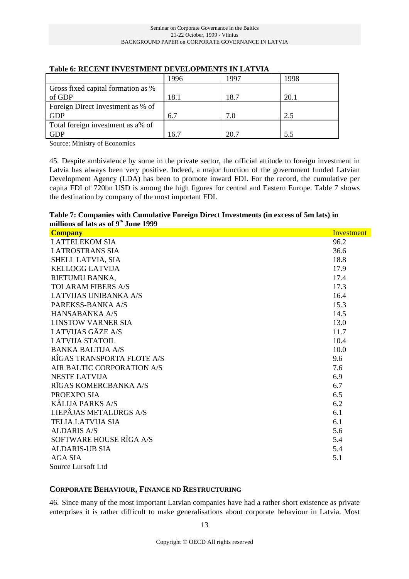|                                    | 1996 | 1997 | 1998 |
|------------------------------------|------|------|------|
| Gross fixed capital formation as % |      |      |      |
| of GDP                             | 18.1 | 18.7 | 20.1 |
| Foreign Direct Investment as % of  |      |      |      |
| <b>GDP</b>                         | 6.7  | 7.0  | 2.5  |
| Total foreign investment as a% of  |      |      |      |
| GDP                                | 16.7 | 20.7 | 5.5  |

#### **Table 6: RECENT INVESTMENT DEVELOPMENTS IN LATVIA**

Source: Ministry of Economics

45. Despite ambivalence by some in the private sector, the official attitude to foreign investment in Latvia has always been very positive. Indeed, a major function of the government funded Latvian Development Agency (LDA) has been to promote inward FDI. For the record, the cumulative per capita FDI of 720bn USD is among the high figures for central and Eastern Europe. Table 7 shows the destination by company of the most important FDI.

#### **Table 7: Companies with Cumulative Foreign Direct Investments (in excess of 5m lats) in millions of lats as of 9th June 1999**

| <b>Company</b>               | <b>Investment</b> |
|------------------------------|-------------------|
| <b>LATTELEKOM SIA</b>        | 96.2              |
| <b>LATROSTRANS SIA</b>       | 36.6              |
| SHELL LATVIA, SIA            | 18.8              |
| <b>KELLOGG LATVIJA</b>       | 17.9              |
| RIETUMU BANKA,               | 17.4              |
| <b>TOLARAM FIBERS A/S</b>    | 17.3              |
| <b>LATVIJAS UNIBANKA A/S</b> | 16.4              |
| PAREKSS-BANKA A/S            | 15.3              |
| <b>HANSABANKA A/S</b>        | 14.5              |
| <b>LINSTOW VARNER SIA</b>    | 13.0              |
| LATVIJAS GÂZE A/S            | 11.7              |
| <b>LATVIJA STATOIL</b>       | 10.4              |
| BANKA BALTIJA A/S            | 10.0              |
| RÎGAS TRANSPORTA FLOTE A/S   | 9.6               |
| AIR BALTIC CORPORATION A/S   | 7.6               |
| <b>NESTE LATVIJA</b>         | 6.9               |
| RĪGAS KOMERCBANKA A/S        | 6.7               |
| PROEXPO SIA                  | 6.5               |
| <b>KÂLIJA PARKS A/S</b>      | 6.2               |
| LIEPÂJAS METALURGS A/S       | 6.1               |
| <b>TELIA LATVIJA SIA</b>     | 6.1               |
| <b>ALDARIS A/S</b>           | 5.6               |
| SOFTWARE HOUSE RÎGA A/S      | 5.4               |
| <b>ALDARIS-UB SIA</b>        | 5.4               |
| AGA SIA                      | 5.1               |
| Source Lursoft Ltd           |                   |

#### **CORPORATE BEHAVIOUR, FINANCE ND RESTRUCTURING**

46. Since many of the most important Latvian companies have had a rather short existence as private enterprises it is rather difficult to make generalisations about corporate behaviour in Latvia. Most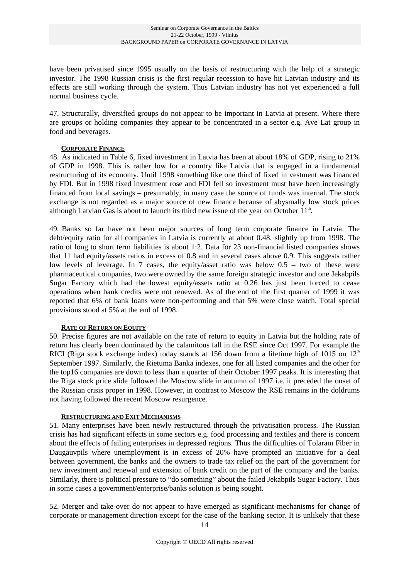have been privatised since 1995 usually on the basis of restructuring with the help of a strategic investor. The 1998 Russian crisis is the first regular recession to have hit Latvian industry and its effects are still working through the system. Thus Latvian industry has not yet experienced a full normal business cycle.

47. Structurally, diversified groups do not appear to be important in Latvia at present. Where there are groups or holding companies they appear to be concentrated in a sector e.g. Ave Lat group in food and beverages.

#### **CORPORATE FINANCE**

48. As indicated in Table 6, fixed investment in Latvia has been at about 18% of GDP, rising to 21% of GDP in 1998. This is rather low for a country like Latvia that is engaged in a fundamental restructuring of its economy. Until 1998 something like one third of fixed in vestment was financed by FDI. But in 1998 fixed investment rose and FDI fell so investment must have been increasingly financed from local savings – presumably, in many case the source of funds was internal. The stock exchange is not regarded as a major source of new finance because of abysmally low stock prices although Latvian Gas is about to launch its third new issue of the year on October  $11<sup>th</sup>$ .

49. Banks so far have not been major sources of long term corporate finance in Latvia. The debt/equity ratio for all companies in Latvia is currently at about 0.48, slightly up from 1998. The ratio of long to short term liabilities is about 1:2. Data for 23 non-financial listed companies shows that 11 had equity/assets ratios in excess of 0.8 and in several cases above 0.9. This suggests rather low levels of leverage. In 7 cases, the equity/asset ratio was below 0.5 – two of these were pharmaceutical companies, two were owned by the same foreign strategic investor and one Jekabpils Sugar Factory which had the lowest equity/assets ratio at 0.26 has just been forced to cease operations when bank credits were not renewed. As of the end of the first quarter of 1999 it was reported that 6% of bank loans were non-performing and that 5% were close watch. Total special provisions stood at 5% at the end of 1998.

#### **RATE OF RETURN ON EQUITY**

50. Precise figures are not available on the rate of return to equity in Latvia but the holding rate of return has clearly been dominated by the calamitous fall in the RSE since Oct 1997. For example the RICI (Riga stock exchange index) today stands at 156 down from a lifetime high of 1015 on  $12<sup>th</sup>$ September 1997. Similarly, the Rietuma Banka indexes, one for all listed companies and the other for the top16 companies are down to less than a quarter of their October 1997 peaks. It is interesting that the Riga stock price slide followed the Moscow slide in autumn of 1997 i.e. it preceded the onset of the Russian crisis proper in 1998. However, in contrast to Moscow the RSE remains in the doldrums not having followed the recent Moscow resurgence.

#### **RESTRUCTURING AND EXIT MECHANISMS**

51. Many enterprises have been newly restructured through the privatisation process. The Russian crisis has had significant effects in some sectors e.g. food processing and textiles and there is concern about the effects of failing enterprises in depressed regions. Thus the difficulties of Tolaram Fiber in Daugauvpils where unemployment is in excess of 20% have prompted an initiative for a deal between government, the banks and the owners to trade tax relief on the part of the government for new investment and renewal and extension of bank credit on the part of the company and the banks. Similarly, there is political pressure to "do something" about the failed Jekabpils Sugar Factory. Thus in some cases a government/enterprise/banks solution is being sought.

52. Merger and take-over do not appear to have emerged as significant mechanisms for change of corporate or management direction except for the case of the banking sector. It is unlikely that these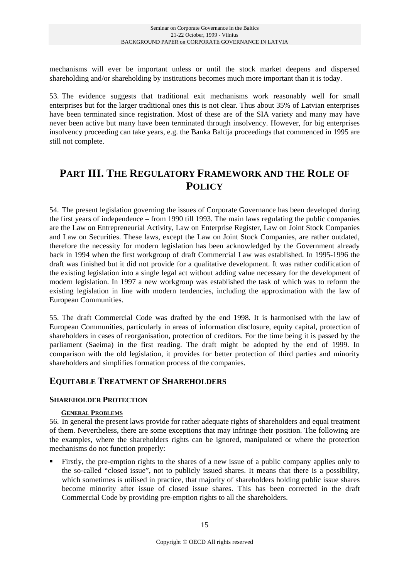mechanisms will ever be important unless or until the stock market deepens and dispersed shareholding and/or shareholding by institutions becomes much more important than it is today.

53. The evidence suggests that traditional exit mechanisms work reasonably well for small enterprises but for the larger traditional ones this is not clear. Thus about 35% of Latvian enterprises have been terminated since registration. Most of these are of the SIA variety and many may have never been active but many have been terminated through insolvency. However, for big enterprises insolvency proceeding can take years, e.g. the Banka Baltija proceedings that commenced in 1995 are still not complete.

## **PART III. THE REGULATORY FRAMEWORK AND THE ROLE OF POLICY**

54. The present legislation governing the issues of Corporate Governance has been developed during the first years of independence – from 1990 till 1993. The main laws regulating the public companies are the Law on Entrepreneurial Activity, Law on Enterprise Register, Law on Joint Stock Companies and Law on Securities. These laws, except the Law on Joint Stock Companies, are rather outdated, therefore the necessity for modern legislation has been acknowledged by the Government already back in 1994 when the first workgroup of draft Commercial Law was established. In 1995-1996 the draft was finished but it did not provide for a qualitative development. It was rather codification of the existing legislation into a single legal act without adding value necessary for the development of modern legislation. In 1997 a new workgroup was established the task of which was to reform the existing legislation in line with modern tendencies, including the approximation with the law of European Communities.

55. The draft Commercial Code was drafted by the end 1998. It is harmonised with the law of European Communities, particularly in areas of information disclosure, equity capital, protection of shareholders in cases of reorganisation, protection of creditors. For the time being it is passed by the parliament (Saeima) in the first reading. The draft might be adopted by the end of 1999. In comparison with the old legislation, it provides for better protection of third parties and minority shareholders and simplifies formation process of the companies.

### **EQUITABLE TREATMENT OF SHAREHOLDERS**

#### **SHAREHOLDER PROTECTION**

#### **GENERAL PROBLEMS**

56. In general the present laws provide for rather adequate rights of shareholders and equal treatment of them. Nevertheless, there are some exceptions that may infringe their position. The following are the examples, where the shareholders rights can be ignored, manipulated or where the protection mechanisms do not function properly:

 Firstly, the pre-emption rights to the shares of a new issue of a public company applies only to the so-called "closed issue", not to publicly issued shares. It means that there is a possibility, which sometimes is utilised in practice, that majority of shareholders holding public issue shares become minority after issue of closed issue shares. This has been corrected in the draft Commercial Code by providing pre-emption rights to all the shareholders.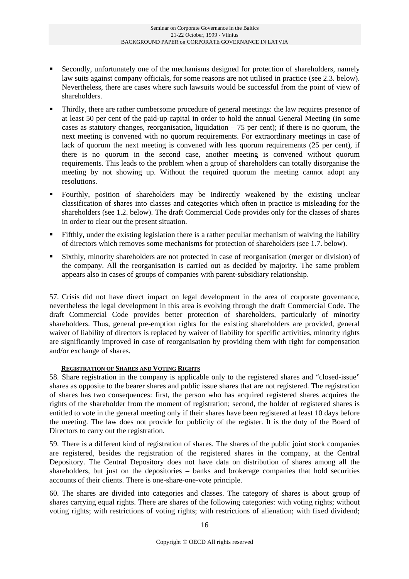- Secondly, unfortunately one of the mechanisms designed for protection of shareholders, namely law suits against company officials, for some reasons are not utilised in practice (see 2.3. below). Nevertheless, there are cases where such lawsuits would be successful from the point of view of shareholders.
- Thirdly, there are rather cumbersome procedure of general meetings: the law requires presence of at least 50 per cent of the paid-up capital in order to hold the annual General Meeting (in some cases as statutory changes, reorganisation, liquidation  $-75$  per cent); if there is no quorum, the next meeting is convened with no quorum requirements. For extraordinary meetings in case of lack of quorum the next meeting is convened with less quorum requirements (25 per cent), if there is no quorum in the second case, another meeting is convened without quorum requirements. This leads to the problem when a group of shareholders can totally disorganise the meeting by not showing up. Without the required quorum the meeting cannot adopt any resolutions.
- Fourthly, position of shareholders may be indirectly weakened by the existing unclear classification of shares into classes and categories which often in practice is misleading for the shareholders (see 1.2. below). The draft Commercial Code provides only for the classes of shares in order to clear out the present situation.
- Fifthly, under the existing legislation there is a rather peculiar mechanism of waiving the liability of directors which removes some mechanisms for protection of shareholders (see 1.7. below).
- Sixthly, minority shareholders are not protected in case of reorganisation (merger or division) of the company. All the reorganisation is carried out as decided by majority. The same problem appears also in cases of groups of companies with parent-subsidiary relationship.

57. Crisis did not have direct impact on legal development in the area of corporate governance, nevertheless the legal development in this area is evolving through the draft Commercial Code. The draft Commercial Code provides better protection of shareholders, particularly of minority shareholders. Thus, general pre-emption rights for the existing shareholders are provided, general waiver of liability of directors is replaced by waiver of liability for specific activities, minority rights are significantly improved in case of reorganisation by providing them with right for compensation and/or exchange of shares.

#### **REGISTRATION OF SHARES AND VOTING RIGHTS**

58. Share registration in the company is applicable only to the registered shares and "closed-issue" shares as opposite to the bearer shares and public issue shares that are not registered. The registration of shares has two consequences: first, the person who has acquired registered shares acquires the rights of the shareholder from the moment of registration; second, the holder of registered shares is entitled to vote in the general meeting only if their shares have been registered at least 10 days before the meeting. The law does not provide for publicity of the register. It is the duty of the Board of Directors to carry out the registration.

59. There is a different kind of registration of shares. The shares of the public joint stock companies are registered, besides the registration of the registered shares in the company, at the Central Depository. The Central Depository does not have data on distribution of shares among all the shareholders, but just on the depositories – banks and brokerage companies that hold securities accounts of their clients. There is one-share-one-vote principle.

60. The shares are divided into categories and classes. The category of shares is about group of shares carrying equal rights. There are shares of the following categories: with voting rights; without voting rights; with restrictions of voting rights; with restrictions of alienation; with fixed dividend;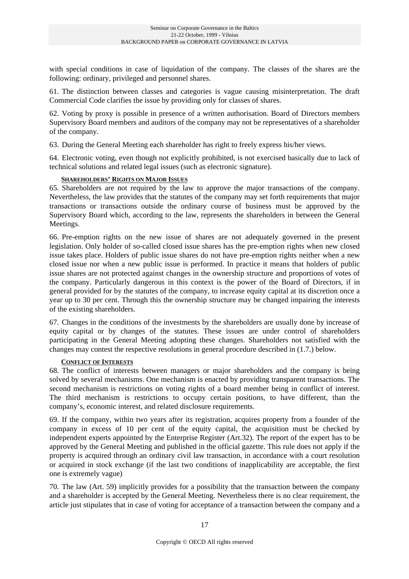with special conditions in case of liquidation of the company. The classes of the shares are the following: ordinary, privileged and personnel shares.

61. The distinction between classes and categories is vague causing misinterpretation. The draft Commercial Code clarifies the issue by providing only for classes of shares.

62. Voting by proxy is possible in presence of a written authorisation. Board of Directors members Supervisory Board members and auditors of the company may not be representatives of a shareholder of the company.

63. During the General Meeting each shareholder has right to freely express his/her views.

64. Electronic voting, even though not explicitly prohibited, is not exercised basically due to lack of technical solutions and related legal issues (such as electronic signature).

#### **SHAREHOLDERS' RIGHTS ON MAJOR ISSUES**

65. Shareholders are not required by the law to approve the major transactions of the company. Nevertheless, the law provides that the statutes of the company may set forth requirements that major transactions or transactions outside the ordinary course of business must be approved by the Supervisory Board which, according to the law, represents the shareholders in between the General Meetings.

66. Pre-emption rights on the new issue of shares are not adequately governed in the present legislation. Only holder of so-called closed issue shares has the pre-emption rights when new closed issue takes place. Holders of public issue shares do not have pre-emption rights neither when a new closed issue nor when a new public issue is performed. In practice it means that holders of public issue shares are not protected against changes in the ownership structure and proportions of votes of the company. Particularly dangerous in this context is the power of the Board of Directors, if in general provided for by the statutes of the company, to increase equity capital at its discretion once a year up to 30 per cent. Through this the ownership structure may be changed impairing the interests of the existing shareholders.

67. Changes in the conditions of the investments by the shareholders are usually done by increase of equity capital or by changes of the statutes. These issues are under control of shareholders participating in the General Meeting adopting these changes. Shareholders not satisfied with the changes may contest the respective resolutions in general procedure described in (1.7.) below.

#### **CONFLICT OF INTERESTS**

68. The conflict of interests between managers or major shareholders and the company is being solved by several mechanisms. One mechanism is enacted by providing transparent transactions. The second mechanism is restrictions on voting rights of a board member being in conflict of interest. The third mechanism is restrictions to occupy certain positions, to have different, than the company's, economic interest, and related disclosure requirements.

69. If the company, within two years after its registration, acquires property from a founder of the company in excess of 10 per cent of the equity capital, the acquisition must be checked by independent experts appointed by the Enterprise Register (Art.32). The report of the expert has to be approved by the General Meeting and published in the official gazette. This rule does not apply if the property is acquired through an ordinary civil law transaction, in accordance with a court resolution or acquired in stock exchange (if the last two conditions of inapplicability are acceptable, the first one is extremely vague)

70. The law (Art. 59) implicitly provides for a possibility that the transaction between the company and a shareholder is accepted by the General Meeting. Nevertheless there is no clear requirement, the article just stipulates that in case of voting for acceptance of a transaction between the company and a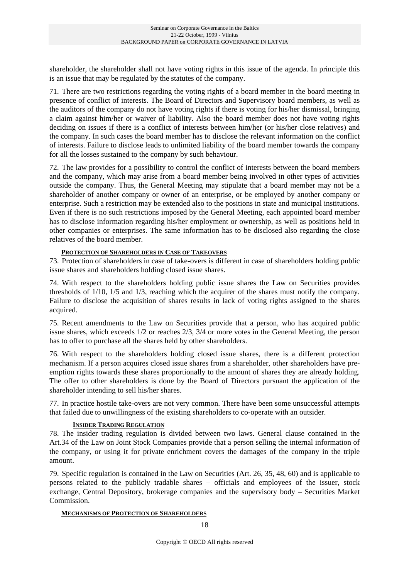shareholder, the shareholder shall not have voting rights in this issue of the agenda. In principle this is an issue that may be regulated by the statutes of the company.

71. There are two restrictions regarding the voting rights of a board member in the board meeting in presence of conflict of interests. The Board of Directors and Supervisory board members, as well as the auditors of the company do not have voting rights if there is voting for his/her dismissal, bringing a claim against him/her or waiver of liability. Also the board member does not have voting rights deciding on issues if there is a conflict of interests between him/her (or his/her close relatives) and the company. In such cases the board member has to disclose the relevant information on the conflict of interests. Failure to disclose leads to unlimited liability of the board member towards the company for all the losses sustained to the company by such behaviour.

72. The law provides for a possibility to control the conflict of interests between the board members and the company, which may arise from a board member being involved in other types of activities outside the company. Thus, the General Meeting may stipulate that a board member may not be a shareholder of another company or owner of an enterprise, or be employed by another company or enterprise. Such a restriction may be extended also to the positions in state and municipal institutions. Even if there is no such restrictions imposed by the General Meeting, each appointed board member has to disclose information regarding his/her employment or ownership, as well as positions held in other companies or enterprises. The same information has to be disclosed also regarding the close relatives of the board member.

#### **PROTECTION OF SHAREHOLDERS IN CASE OF TAKEOVERS**

73. Protection of shareholders in case of take-overs is different in case of shareholders holding public issue shares and shareholders holding closed issue shares.

74. With respect to the shareholders holding public issue shares the Law on Securities provides thresholds of 1/10, 1/5 and 1/3, reaching which the acquirer of the shares must notify the company. Failure to disclose the acquisition of shares results in lack of voting rights assigned to the shares acquired.

75. Recent amendments to the Law on Securities provide that a person, who has acquired public issue shares, which exceeds 1/2 or reaches 2/3, 3/4 or more votes in the General Meeting, the person has to offer to purchase all the shares held by other shareholders.

76. With respect to the shareholders holding closed issue shares, there is a different protection mechanism. If a person acquires closed issue shares from a shareholder, other shareholders have preemption rights towards these shares proportionally to the amount of shares they are already holding. The offer to other shareholders is done by the Board of Directors pursuant the application of the shareholder intending to sell his/her shares.

77. In practice hostile take-overs are not very common. There have been some unsuccessful attempts that failed due to unwillingness of the existing shareholders to co-operate with an outsider.

#### **INSIDER TRADING REGULATION**

78. The insider trading regulation is divided between two laws. General clause contained in the Art.34 of the Law on Joint Stock Companies provide that a person selling the internal information of the company, or using it for private enrichment covers the damages of the company in the triple amount.

79. Specific regulation is contained in the Law on Securities (Art. 26, 35, 48, 60) and is applicable to persons related to the publicly tradable shares – officials and employees of the issuer, stock exchange, Central Depository, brokerage companies and the supervisory body – Securities Market Commission.

#### **MECHANISMS OF PROTECTION OF SHAREHOLDERS**

18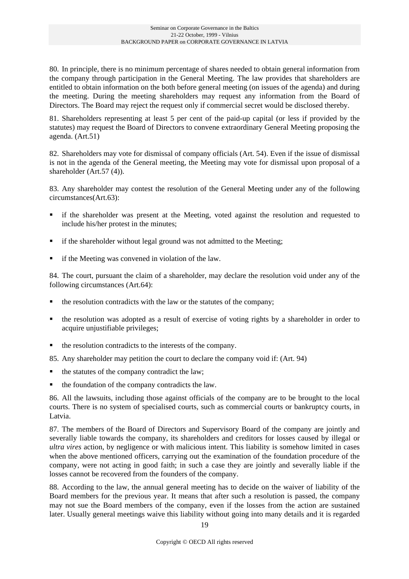80. In principle, there is no minimum percentage of shares needed to obtain general information from the company through participation in the General Meeting. The law provides that shareholders are entitled to obtain information on the both before general meeting (on issues of the agenda) and during the meeting. During the meeting shareholders may request any information from the Board of Directors. The Board may reject the request only if commercial secret would be disclosed thereby.

81. Shareholders representing at least 5 per cent of the paid-up capital (or less if provided by the statutes) may request the Board of Directors to convene extraordinary General Meeting proposing the agenda. (Art.51)

82. Shareholders may vote for dismissal of company officials (Art. 54). Even if the issue of dismissal is not in the agenda of the General meeting, the Meeting may vote for dismissal upon proposal of a shareholder (Art.57 (4)).

83. Any shareholder may contest the resolution of the General Meeting under any of the following circumstances(Art.63):

- if the shareholder was present at the Meeting, voted against the resolution and requested to include his/her protest in the minutes;
- if the shareholder without legal ground was not admitted to the Meeting;
- $\blacksquare$  if the Meeting was convened in violation of the law.

84. The court, pursuant the claim of a shareholder, may declare the resolution void under any of the following circumstances (Art.64):

- the resolution contradicts with the law or the statutes of the company;
- the resolution was adopted as a result of exercise of voting rights by a shareholder in order to acquire unjustifiable privileges;
- $\blacksquare$  the resolution contradicts to the interests of the company.

85. Any shareholder may petition the court to declare the company void if: (Art. 94)

- $\blacksquare$  the statutes of the company contradict the law;
- $\blacksquare$  the foundation of the company contradicts the law.

86. All the lawsuits, including those against officials of the company are to be brought to the local courts. There is no system of specialised courts, such as commercial courts or bankruptcy courts, in Latvia.

87. The members of the Board of Directors and Supervisory Board of the company are jointly and severally liable towards the company, its shareholders and creditors for losses caused by illegal or *ultra vires* action, by negligence or with malicious intent. This liability is somehow limited in cases when the above mentioned officers, carrying out the examination of the foundation procedure of the company, were not acting in good faith; in such a case they are jointly and severally liable if the losses cannot be recovered from the founders of the company.

88. According to the law, the annual general meeting has to decide on the waiver of liability of the Board members for the previous year. It means that after such a resolution is passed, the company may not sue the Board members of the company, even if the losses from the action are sustained later. Usually general meetings waive this liability without going into many details and it is regarded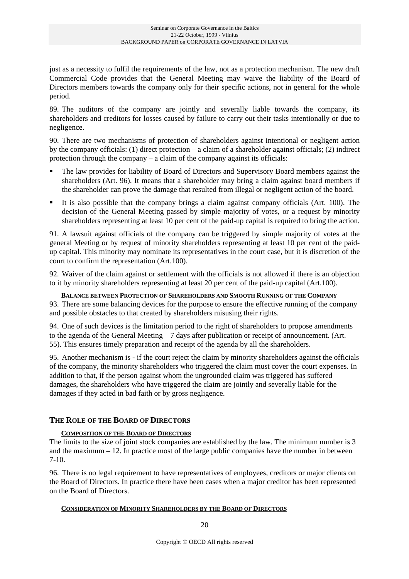just as a necessity to fulfil the requirements of the law, not as a protection mechanism. The new draft Commercial Code provides that the General Meeting may waive the liability of the Board of Directors members towards the company only for their specific actions, not in general for the whole period.

89. The auditors of the company are jointly and severally liable towards the company, its shareholders and creditors for losses caused by failure to carry out their tasks intentionally or due to negligence.

90. There are two mechanisms of protection of shareholders against intentional or negligent action by the company officials: (1) direct protection – a claim of a shareholder against officials; (2) indirect protection through the company – a claim of the company against its officials:

- The law provides for liability of Board of Directors and Supervisory Board members against the shareholders (Art. 96). It means that a shareholder may bring a claim against board members if the shareholder can prove the damage that resulted from illegal or negligent action of the board.
- It is also possible that the company brings a claim against company officials (Art. 100). The decision of the General Meeting passed by simple majority of votes, or a request by minority shareholders representing at least 10 per cent of the paid-up capital is required to bring the action.

91. A lawsuit against officials of the company can be triggered by simple majority of votes at the general Meeting or by request of minority shareholders representing at least 10 per cent of the paidup capital. This minority may nominate its representatives in the court case, but it is discretion of the court to confirm the representation (Art.100).

92. Waiver of the claim against or settlement with the officials is not allowed if there is an objection to it by minority shareholders representing at least 20 per cent of the paid-up capital (Art.100).

**BALANCE BETWEEN PROTECTION OF SHAREHOLDERS AND SMOOTH RUNNING OF THE COMPANY** 93. There are some balancing devices for the purpose to ensure the effective running of the company and possible obstacles to that created by shareholders misusing their rights.

94. One of such devices is the limitation period to the right of shareholders to propose amendments to the agenda of the General Meeting – 7 days after publication or receipt of announcement. (Art. 55). This ensures timely preparation and receipt of the agenda by all the shareholders.

95. Another mechanism is - if the court reject the claim by minority shareholders against the officials of the company, the minority shareholders who triggered the claim must cover the court expenses. In addition to that, if the person against whom the ungrounded claim was triggered has suffered damages, the shareholders who have triggered the claim are jointly and severally liable for the damages if they acted in bad faith or by gross negligence.

### **THE ROLE OF THE BOARD OF DIRECTORS**

#### **COMPOSITION OF THE BOARD OF DIRECTORS**

The limits to the size of joint stock companies are established by the law. The minimum number is 3 and the maximum  $-12$ . In practice most of the large public companies have the number in between 7-10.

96. There is no legal requirement to have representatives of employees, creditors or major clients on the Board of Directors. In practice there have been cases when a major creditor has been represented on the Board of Directors.

#### **CONSIDERATION OF MINORITY SHAREHOLDERS BY THE BOARD OF DIRECTORS**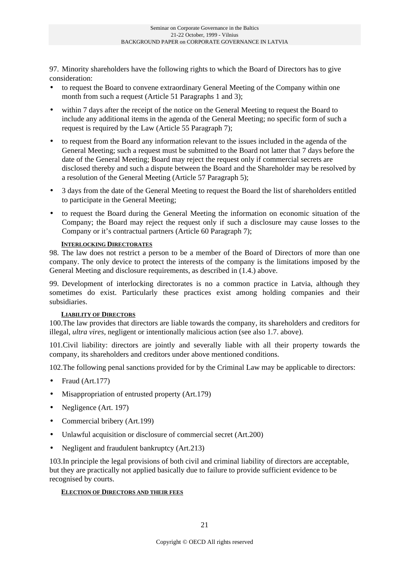97. Minority shareholders have the following rights to which the Board of Directors has to give consideration:

- to request the Board to convene extraordinary General Meeting of the Company within one month from such a request (Article 51 Paragraphs 1 and 3);
- within 7 days after the receipt of the notice on the General Meeting to request the Board to include any additional items in the agenda of the General Meeting; no specific form of such a request is required by the Law (Article 55 Paragraph 7);
- to request from the Board any information relevant to the issues included in the agenda of the General Meeting; such a request must be submitted to the Board not latter that 7 days before the date of the General Meeting; Board may reject the request only if commercial secrets are disclosed thereby and such a dispute between the Board and the Shareholder may be resolved by a resolution of the General Meeting (Article 57 Paragraph 5);
- 3 days from the date of the General Meeting to request the Board the list of shareholders entitled to participate in the General Meeting;
- to request the Board during the General Meeting the information on economic situation of the Company; the Board may reject the request only if such a disclosure may cause losses to the Company or it's contractual partners (Article 60 Paragraph 7);

#### **INTERLOCKING DIRECTORATES**

98. The law does not restrict a person to be a member of the Board of Directors of more than one company. The only device to protect the interests of the company is the limitations imposed by the General Meeting and disclosure requirements, as described in (1.4.) above.

99. Development of interlocking directorates is no a common practice in Latvia, although they sometimes do exist. Particularly these practices exist among holding companies and their subsidiaries.

#### **LIABILITY OF DIRECTORS**

100.The law provides that directors are liable towards the company, its shareholders and creditors for illegal, *ultra vires*, negligent or intentionally malicious action (see also 1.7. above).

101.Civil liability: directors are jointly and severally liable with all their property towards the company, its shareholders and creditors under above mentioned conditions.

102.The following penal sanctions provided for by the Criminal Law may be applicable to directors:

- Fraud (Art.177)
- Misappropriation of entrusted property (Art.179)
- Negligence (Art. 197)
- Commercial bribery (Art.199)
- Unlawful acquisition or disclosure of commercial secret (Art.200)
- Negligent and fraudulent bankruptcy (Art.213)

103.In principle the legal provisions of both civil and criminal liability of directors are acceptable, but they are practically not applied basically due to failure to provide sufficient evidence to be recognised by courts.

#### **ELECTION OF DIRECTORS AND THEIR FEES**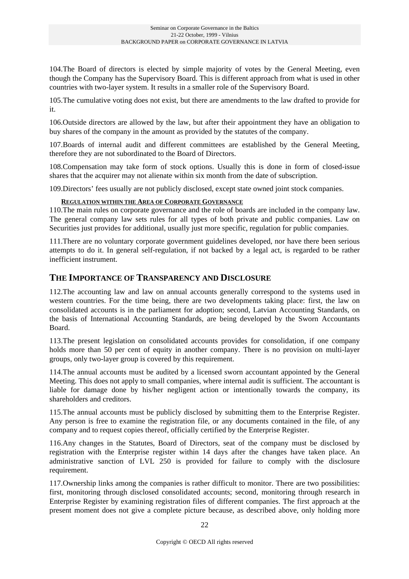104.The Board of directors is elected by simple majority of votes by the General Meeting, even though the Company has the Supervisory Board. This is different approach from what is used in other countries with two-layer system. It results in a smaller role of the Supervisory Board.

105.The cumulative voting does not exist, but there are amendments to the law drafted to provide for it.

106.Outside directors are allowed by the law, but after their appointment they have an obligation to buy shares of the company in the amount as provided by the statutes of the company.

107.Boards of internal audit and different committees are established by the General Meeting, therefore they are not subordinated to the Board of Directors.

108.Compensation may take form of stock options. Usually this is done in form of closed-issue shares that the acquirer may not alienate within six month from the date of subscription.

109.Directors' fees usually are not publicly disclosed, except state owned joint stock companies.

#### **REGULATION WITHIN THE AREA OF CORPORATE GOVERNANCE**

110.The main rules on corporate governance and the role of boards are included in the company law. The general company law sets rules for all types of both private and public companies. Law on Securities just provides for additional, usually just more specific, regulation for public companies.

111.There are no voluntary corporate government guidelines developed, nor have there been serious attempts to do it. In general self-regulation, if not backed by a legal act, is regarded to be rather inefficient instrument.

### **THE IMPORTANCE OF TRANSPARENCY AND DISCLOSURE**

112.The accounting law and law on annual accounts generally correspond to the systems used in western countries. For the time being, there are two developments taking place: first, the law on consolidated accounts is in the parliament for adoption; second, Latvian Accounting Standards, on the basis of International Accounting Standards, are being developed by the Sworn Accountants Board.

113.The present legislation on consolidated accounts provides for consolidation, if one company holds more than 50 per cent of equity in another company. There is no provision on multi-layer groups, only two-layer group is covered by this requirement.

114.The annual accounts must be audited by a licensed sworn accountant appointed by the General Meeting. This does not apply to small companies, where internal audit is sufficient. The accountant is liable for damage done by his/her negligent action or intentionally towards the company, its shareholders and creditors.

115.The annual accounts must be publicly disclosed by submitting them to the Enterprise Register. Any person is free to examine the registration file, or any documents contained in the file, of any company and to request copies thereof, officially certified by the Enterprise Register.

116.Any changes in the Statutes, Board of Directors, seat of the company must be disclosed by registration with the Enterprise register within 14 days after the changes have taken place. An administrative sanction of LVL 250 is provided for failure to comply with the disclosure requirement.

117.Ownership links among the companies is rather difficult to monitor. There are two possibilities: first, monitoring through disclosed consolidated accounts; second, monitoring through research in Enterprise Register by examining registration files of different companies. The first approach at the present moment does not give a complete picture because, as described above, only holding more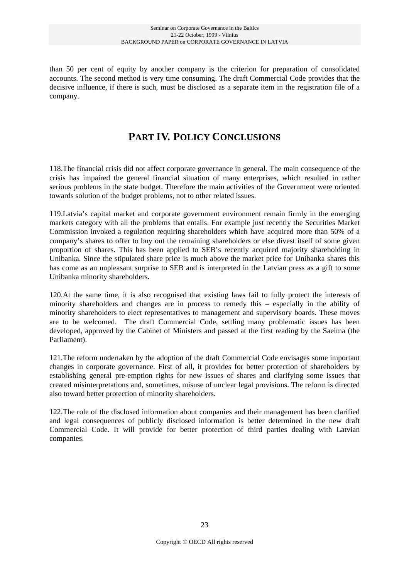than 50 per cent of equity by another company is the criterion for preparation of consolidated accounts. The second method is very time consuming. The draft Commercial Code provides that the decisive influence, if there is such, must be disclosed as a separate item in the registration file of a company.

## **PART IV. POLICY CONCLUSIONS**

118.The financial crisis did not affect corporate governance in general. The main consequence of the crisis has impaired the general financial situation of many enterprises, which resulted in rather serious problems in the state budget. Therefore the main activities of the Government were oriented towards solution of the budget problems, not to other related issues.

119.Latvia's capital market and corporate government environment remain firmly in the emerging markets category with all the problems that entails. For example just recently the Securities Market Commission invoked a regulation requiring shareholders which have acquired more than 50% of a company's shares to offer to buy out the remaining shareholders or else divest itself of some given proportion of shares. This has been applied to SEB's recently acquired majority shareholding in Unibanka. Since the stipulated share price is much above the market price for Unibanka shares this has come as an unpleasant surprise to SEB and is interpreted in the Latvian press as a gift to some Unibanka minority shareholders.

120.At the same time, it is also recognised that existing laws fail to fully protect the interests of minority shareholders and changes are in process to remedy this – especially in the ability of minority shareholders to elect representatives to management and supervisory boards. These moves are to be welcomed. The draft Commercial Code, settling many problematic issues has been developed, approved by the Cabinet of Ministers and passed at the first reading by the Saeima (the Parliament).

121.The reform undertaken by the adoption of the draft Commercial Code envisages some important changes in corporate governance. First of all, it provides for better protection of shareholders by establishing general pre-emption rights for new issues of shares and clarifying some issues that created misinterpretations and, sometimes, misuse of unclear legal provisions. The reform is directed also toward better protection of minority shareholders.

122.The role of the disclosed information about companies and their management has been clarified and legal consequences of publicly disclosed information is better determined in the new draft Commercial Code. It will provide for better protection of third parties dealing with Latvian companies.